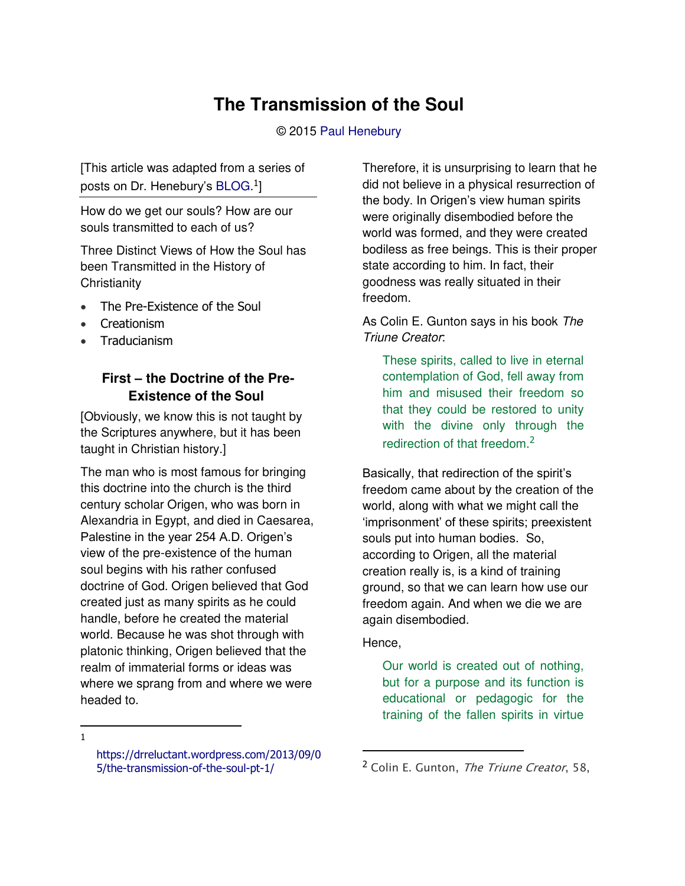# **The Transmission of the Soul**

#### © 2015 [Paul Henebury](http://www.spiritandtruth.org/id/ph.htm)

[This article was adapted from a series of posts on Dr. Henebury's [BLOG.](https://drreluctant.wordpress.com/2014/07/07/covenants-clarity-ambiguity-and-faith-1/)<sup>1</sup>]

How do we get our souls? How are our souls transmitted to each of us?

Three Distinct Views of How the Soul has been Transmitted in the History of **Christianity** 

- The Pre-Existence of the Soul
- Creationism
- Traducianism

# **First – the Doctrine of the Pre-Existence of the Soul**

[Obviously, we know this is not taught by the Scriptures anywhere, but it has been taught in Christian history.]

The man who is most famous for bringing this doctrine into the church is the third century scholar Origen, who was born in Alexandria in Egypt, and died in Caesarea, Palestine in the year 254 A.D. Origen's view of the pre-existence of the human soul begins with his rather confused doctrine of God. Origen believed that God created just as many spirits as he could handle, before he created the material world. Because he was shot through with platonic thinking, Origen believed that the realm of immaterial forms or ideas was where we sprang from and where we were headed to.

Therefore, it is unsurprising to learn that he did not believe in a physical resurrection of the body. In Origen's view human spirits were originally disembodied before the world was formed, and they were created bodiless as free beings. This is their proper state according to him. In fact, their goodness was really situated in their freedom.

As Colin E. Gunton says in his book *The Triune Creator*:

These spirits, called to live in eternal contemplation of God, fell away from him and misused their freedom so that they could be restored to unity with the divine only through the redirection of that freedom.<sup>2</sup>

Basically, that redirection of the spirit's freedom came about by the creation of the world, along with what we might call the 'imprisonment' of these spirits; preexistent souls put into human bodies. So, according to Origen, all the material creation really is, is a kind of training ground, so that we can learn how use our freedom again. And when we die we are again disembodied.

#### Hence,

 $\overline{a}$ 

Our world is created out of nothing, but for a purpose and its function is educational or pedagogic for the training of the fallen spirits in virtue

 $\overline{a}$ 1

[https://drreluctant.wordpress.com/2013/09/0](https://drreluctant.wordpress.com/2013/09/05/the-transmission-of-the-soul-pt-1/) [5/the-transmission-of-the-soul-pt-1/](https://drreluctant.wordpress.com/2013/09/05/the-transmission-of-the-soul-pt-1/)

<sup>&</sup>lt;sup>2</sup> Colin E. Gunton, The Triune Creator, 58,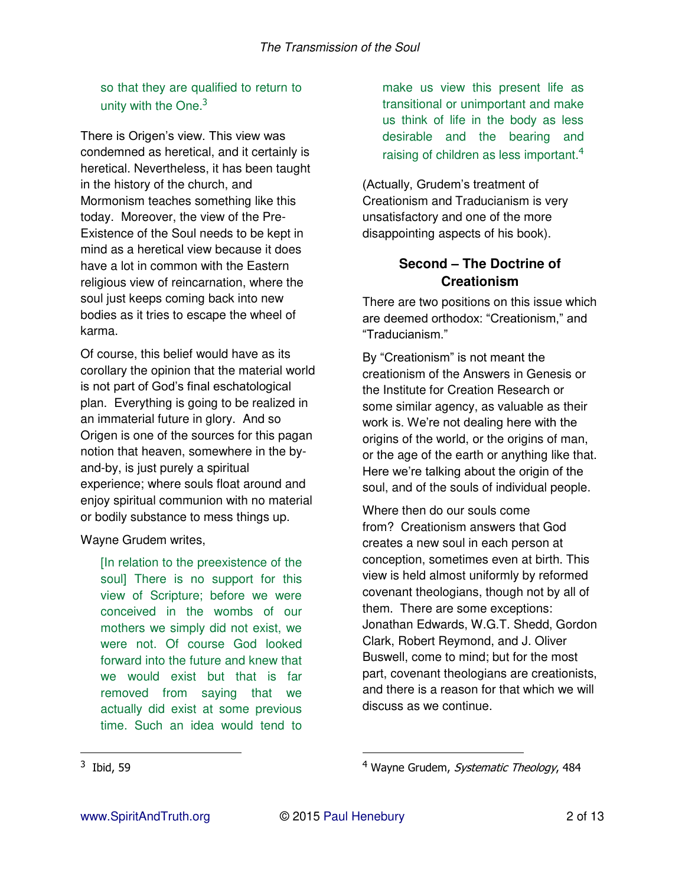so that they are qualified to return to unity with the One.<sup>3</sup>

There is Origen's view. This view was condemned as heretical, and it certainly is heretical. Nevertheless, it has been taught in the history of the church, and Mormonism teaches something like this today. Moreover, the view of the Pre-Existence of the Soul needs to be kept in mind as a heretical view because it does have a lot in common with the Eastern religious view of reincarnation, where the soul just keeps coming back into new bodies as it tries to escape the wheel of karma.

Of course, this belief would have as its corollary the opinion that the material world is not part of God's final eschatological plan. Everything is going to be realized in an immaterial future in glory. And so Origen is one of the sources for this pagan notion that heaven, somewhere in the byand-by, is just purely a spiritual experience; where souls float around and enjoy spiritual communion with no material or bodily substance to mess things up.

Wayne Grudem writes,

[In relation to the preexistence of the soul] There is no support for this view of Scripture; before we were conceived in the wombs of our mothers we simply did not exist, we were not. Of course God looked forward into the future and knew that we would exist but that is far removed from saying that we actually did exist at some previous time. Such an idea would tend to

make us view this present life as transitional or unimportant and make us think of life in the body as less desirable and the bearing and raising of children as less important.<sup>4</sup>

(Actually, Grudem's treatment of Creationism and Traducianism is very unsatisfactory and one of the more disappointing aspects of his book).

## **Second – The Doctrine of Creationism**

There are two positions on this issue which are deemed orthodox: "Creationism," and "Traducianism."

By "Creationism" is not meant the creationism of the Answers in Genesis or the Institute for Creation Research or some similar agency, as valuable as their work is. We're not dealing here with the origins of the world, or the origins of man, or the age of the earth or anything like that. Here we're talking about the origin of the soul, and of the souls of individual people.

Where then do our souls come from? Creationism answers that God creates a new soul in each person at conception, sometimes even at birth. This view is held almost uniformly by reformed covenant theologians, though not by all of them. There are some exceptions: Jonathan Edwards, W.G.T. Shedd, Gordon Clark, Robert Reymond, and J. Oliver Buswell, come to mind; but for the most part, covenant theologians are creationists, and there is a reason for that which we will discuss as we continue.

 $\overline{a}$ 

<sup>&</sup>lt;sup>3</sup> Ibid, 59

<sup>&</sup>lt;sup>4</sup> Wayne Grudem, *Systematic Theology*, 484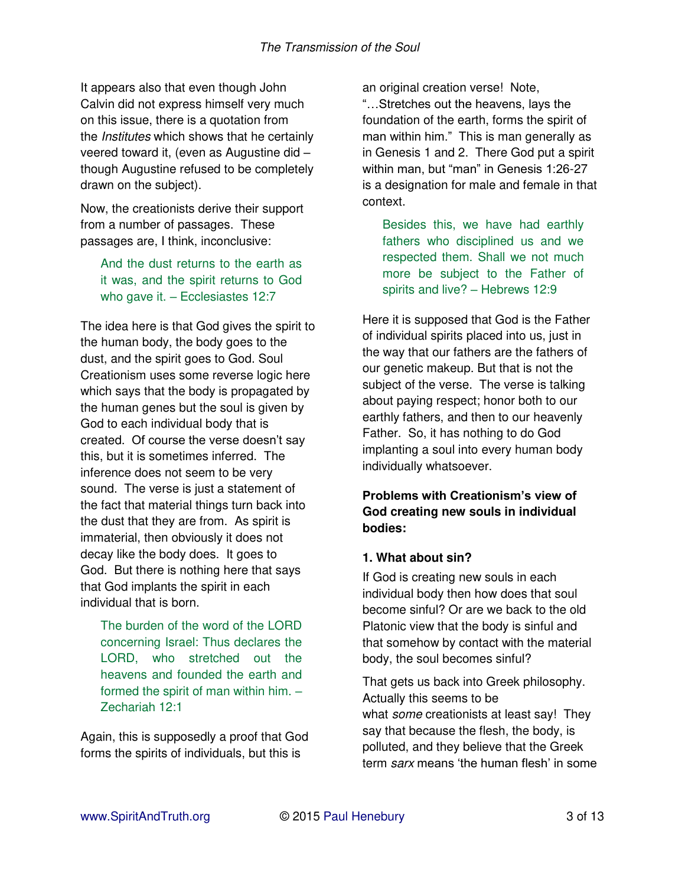It appears also that even though John Calvin did not express himself very much on this issue, there is a quotation from the *Institutes* which shows that he certainly veered toward it, (even as Augustine did – though Augustine refused to be completely drawn on the subject).

Now, the creationists derive their support from a number of passages. These passages are, I think, inconclusive:

And the dust returns to the earth as it was, and the spirit returns to God who gave it. – Ecclesiastes 12:7

The idea here is that God gives the spirit to the human body, the body goes to the dust, and the spirit goes to God. Soul Creationism uses some reverse logic here which says that the body is propagated by the human genes but the soul is given by God to each individual body that is created. Of course the verse doesn't say this, but it is sometimes inferred. The inference does not seem to be very sound. The verse is just a statement of the fact that material things turn back into the dust that they are from. As spirit is immaterial, then obviously it does not decay like the body does. It goes to God. But there is nothing here that says that God implants the spirit in each individual that is born.

The burden of the word of the LORD concerning Israel: Thus declares the LORD, who stretched out the heavens and founded the earth and formed the spirit of man within him. – Zechariah 12:1

Again, this is supposedly a proof that God forms the spirits of individuals, but this is

an original creation verse! Note, "…Stretches out the heavens, lays the foundation of the earth, forms the spirit of man within him." This is man generally as in Genesis 1 and 2. There God put a spirit within man, but "man" in Genesis 1:26-27 is a designation for male and female in that context.

Besides this, we have had earthly fathers who disciplined us and we respected them. Shall we not much more be subject to the Father of spirits and live? – Hebrews 12:9

Here it is supposed that God is the Father of individual spirits placed into us, just in the way that our fathers are the fathers of our genetic makeup. But that is not the subject of the verse. The verse is talking about paying respect; honor both to our earthly fathers, and then to our heavenly Father. So, it has nothing to do God implanting a soul into every human body individually whatsoever.

**Problems with Creationism's view of God creating new souls in individual bodies:**

### **1. What about sin?**

If God is creating new souls in each individual body then how does that soul become sinful? Or are we back to the old Platonic view that the body is sinful and that somehow by contact with the material body, the soul becomes sinful?

That gets us back into Greek philosophy. Actually this seems to be what *some* creationists at least say! They say that because the flesh, the body, is polluted, and they believe that the Greek term *sarx* means 'the human flesh' in some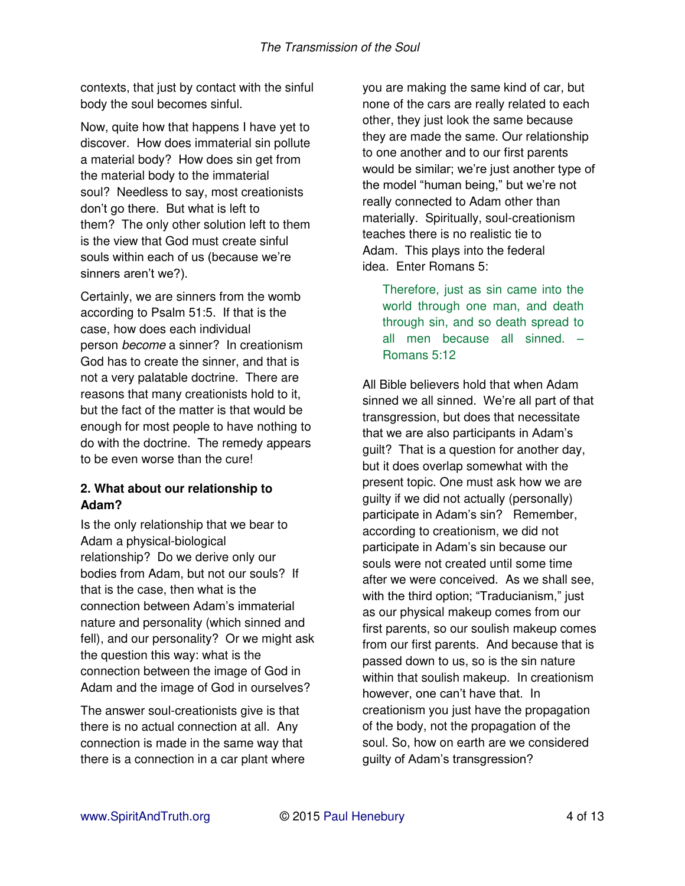contexts, that just by contact with the sinful body the soul becomes sinful.

Now, quite how that happens I have yet to discover. How does immaterial sin pollute a material body? How does sin get from the material body to the immaterial soul? Needless to say, most creationists don't go there. But what is left to them? The only other solution left to them is the view that God must create sinful souls within each of us (because we're sinners aren't we?).

Certainly, we are sinners from the womb according to Psalm 51:5. If that is the case, how does each individual person *become* a sinner? In creationism God has to create the sinner, and that is not a very palatable doctrine. There are reasons that many creationists hold to it, but the fact of the matter is that would be enough for most people to have nothing to do with the doctrine. The remedy appears to be even worse than the cure!

### **2. What about our relationship to Adam?**

Is the only relationship that we bear to Adam a physical-biological relationship? Do we derive only our bodies from Adam, but not our souls? If that is the case, then what is the connection between Adam's immaterial nature and personality (which sinned and fell), and our personality? Or we might ask the question this way: what is the connection between the image of God in Adam and the image of God in ourselves?

The answer soul-creationists give is that there is no actual connection at all. Any connection is made in the same way that there is a connection in a car plant where you are making the same kind of car, but none of the cars are really related to each other, they just look the same because they are made the same. Our relationship to one another and to our first parents would be similar; we're just another type of the model "human being," but we're not really connected to Adam other than materially. Spiritually, soul-creationism teaches there is no realistic tie to Adam. This plays into the federal idea. Enter Romans 5:

Therefore, just as sin came into the world through one man, and death through sin, and so death spread to all men because all sinned. – Romans 5:12

All Bible believers hold that when Adam sinned we all sinned. We're all part of that transgression, but does that necessitate that we are also participants in Adam's guilt? That is a question for another day, but it does overlap somewhat with the present topic. One must ask how we are guilty if we did not actually (personally) participate in Adam's sin? Remember, according to creationism, we did not participate in Adam's sin because our souls were not created until some time after we were conceived. As we shall see, with the third option; "Traducianism," just as our physical makeup comes from our first parents, so our soulish makeup comes from our first parents. And because that is passed down to us, so is the sin nature within that soulish makeup. In creationism however, one can't have that. In creationism you just have the propagation of the body, not the propagation of the soul. So, how on earth are we considered guilty of Adam's transgression?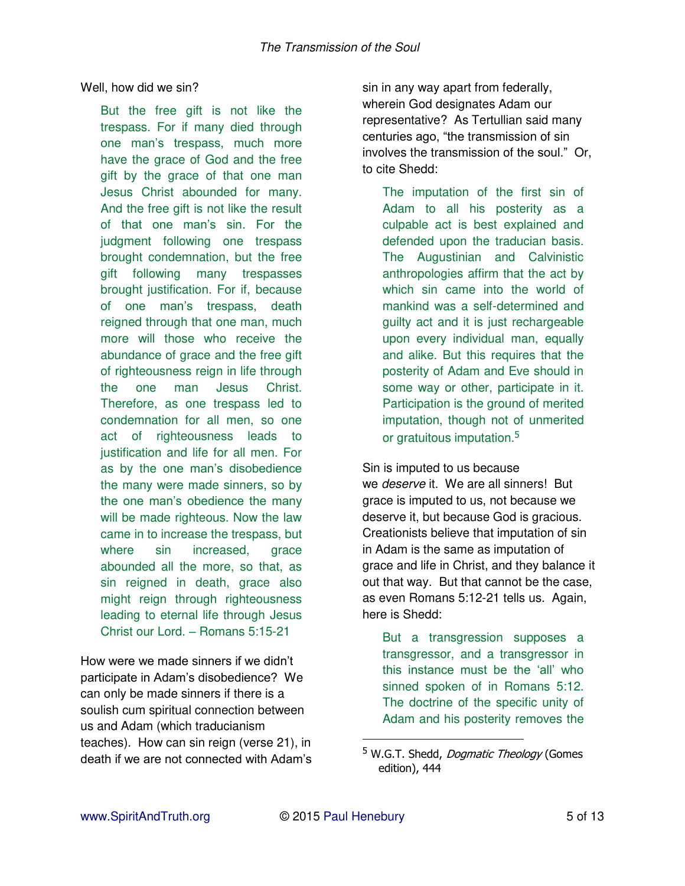#### Well, how did we sin?

But the free gift is not like the trespass. For if many died through one man's trespass, much more have the grace of God and the free gift by the grace of that one man Jesus Christ abounded for many. And the free gift is not like the result of that one man's sin. For the judgment following one trespass brought condemnation, but the free gift following many trespasses brought justification. For if, because of one man's trespass, death reigned through that one man, much more will those who receive the abundance of grace and the free gift of righteousness reign in life through the one man Jesus Christ. Therefore, as one trespass led to condemnation for all men, so one act of righteousness leads to justification and life for all men. For as by the one man's disobedience the many were made sinners, so by the one man's obedience the many will be made righteous. Now the law came in to increase the trespass, but where sin increased, grace abounded all the more, so that, as sin reigned in death, grace also might reign through righteousness leading to eternal life through Jesus Christ our Lord. – Romans 5:15-21

How were we made sinners if we didn't participate in Adam's disobedience? We can only be made sinners if there is a soulish cum spiritual connection between us and Adam (which traducianism teaches). How can sin reign (verse 21), in death if we are not connected with Adam's sin in any way apart from federally, wherein God designates Adam our representative? As Tertullian said many centuries ago, "the transmission of sin involves the transmission of the soul." Or, to cite Shedd:

The imputation of the first sin of Adam to all his posterity as a culpable act is best explained and defended upon the traducian basis. The Augustinian and Calvinistic anthropologies affirm that the act by which sin came into the world of mankind was a self-determined and guilty act and it is just rechargeable upon every individual man, equally and alike. But this requires that the posterity of Adam and Eve should in some way or other, participate in it. Participation is the ground of merited imputation, though not of unmerited or gratuitous imputation.<sup>5</sup>

Sin is imputed to us because we *deserve* it. We are all sinners! But grace is imputed to us, not because we deserve it, but because God is gracious. Creationists believe that imputation of sin in Adam is the same as imputation of grace and life in Christ, and they balance it out that way. But that cannot be the case, as even Romans 5:12-21 tells us. Again, here is Shedd:

But a transgression supposes a transgressor, and a transgressor in this instance must be the 'all' who sinned spoken of in Romans 5:12. The doctrine of the specific unity of Adam and his posterity removes the

<sup>&</sup>lt;sup>5</sup> W.G.T. Shedd, *Dogmatic Theology* (Gomes edition), 444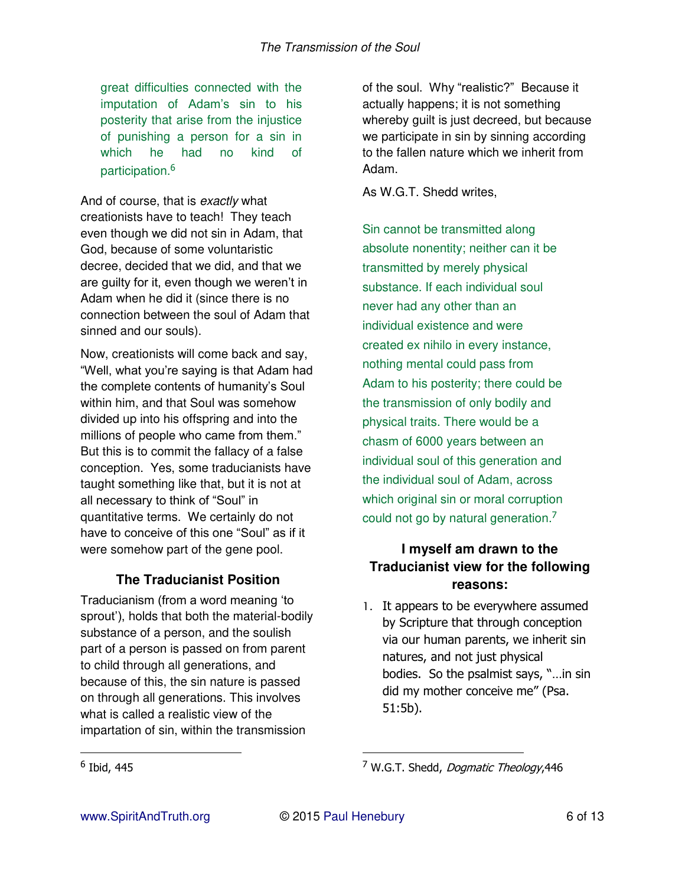great difficulties connected with the imputation of Adam's sin to his posterity that arise from the injustice of punishing a person for a sin in which he had no kind of participation.<sup>6</sup>

And of course, that is *exactly* what creationists have to teach! They teach even though we did not sin in Adam, that God, because of some voluntaristic decree, decided that we did, and that we are guilty for it, even though we weren't in Adam when he did it (since there is no connection between the soul of Adam that sinned and our souls).

Now, creationists will come back and say, "Well, what you're saying is that Adam had the complete contents of humanity's Soul within him, and that Soul was somehow divided up into his offspring and into the millions of people who came from them." But this is to commit the fallacy of a false conception. Yes, some traducianists have taught something like that, but it is not at all necessary to think of "Soul" in quantitative terms. We certainly do not have to conceive of this one "Soul" as if it were somehow part of the gene pool.

### **The Traducianist Position**

Traducianism (from a word meaning 'to sprout'), holds that both the material-bodily substance of a person, and the soulish part of a person is passed on from parent to child through all generations, and because of this, the sin nature is passed on through all generations. This involves what is called a realistic view of the impartation of sin, within the transmission

of the soul. Why "realistic?" Because it actually happens; it is not something whereby quilt is just decreed, but because we participate in sin by sinning according to the fallen nature which we inherit from Adam.

As W.G.T. Shedd writes,

Sin cannot be transmitted along absolute nonentity; neither can it be transmitted by merely physical substance. If each individual soul never had any other than an individual existence and were created ex nihilo in every instance, nothing mental could pass from Adam to his posterity; there could be the transmission of only bodily and physical traits. There would be a chasm of 6000 years between an individual soul of this generation and the individual soul of Adam, across which original sin or moral corruption could not go by natural generation.<sup>7</sup>

## **I myself am drawn to the Traducianist view for the following reasons:**

1. It appears to be everywhere assumed by Scripture that through conception via our human parents, we inherit sin natures, and not just physical bodies. So the psalmist says, "…in sin did my mother conceive me" (Psa. 51:5b).

 $\overline{a}$ 

<sup>&</sup>lt;sup>6</sup> Ibid, 445

<sup>&</sup>lt;sup>7</sup> W.G.T. Shedd, *Dogmatic Theology*,446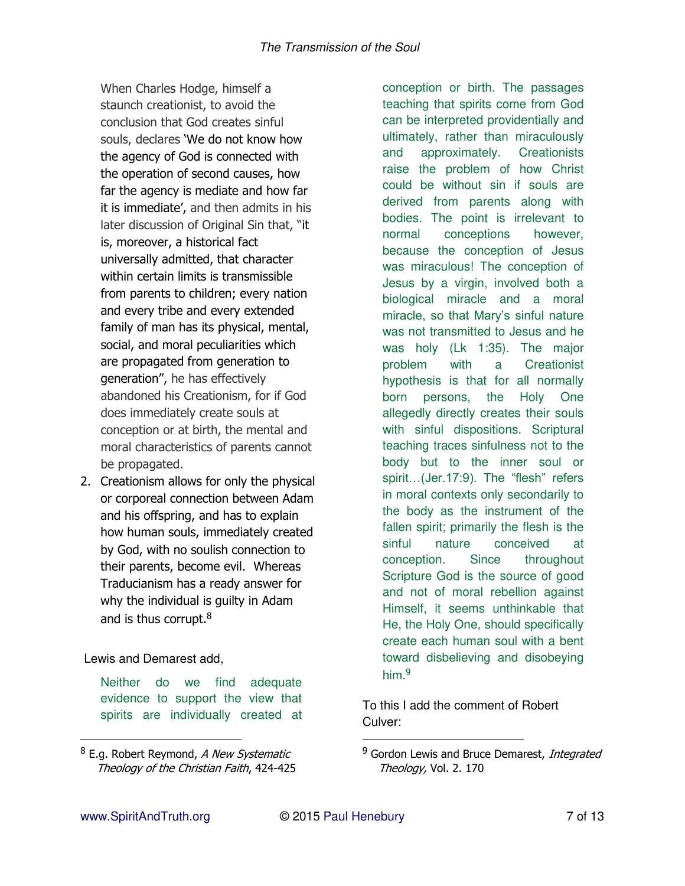When Charles Hodge, himself a staunch creationist, to avoid the conclusion that God creates sinful souls, declares 'We do not know how the agency of God is connected with the operation of second causes, how far the agency is mediate and how far it is immediate', and then admits in his later discussion of Original Sin that, "it is, moreover, a historical fact universally admitted, that character within certain limits is transmissible from parents to children; every nation and every tribe and every extended family of man has its physical, mental, social, and moral peculiarities which are propagated from generation to generation", he has effectively abandoned his Creationism, for if God does immediately create souls at conception or at birth, the mental and moral characteristics of parents cannot be propagated.

2. Creationism allows for only the physical or corporeal connection between Adam and his offspring, and has to explain how human souls, immediately created by God, with no soulish connection to their parents, become evil. Whereas Traducianism has a ready answer for why the individual is guilty in Adam and is thus corrupt.<sup>8</sup>

Lewis and Demarest add,

Neither do we find adequate evidence to support the view that spirits are individually created at conception or birth. The passages teaching that spirits come from God can be interpreted providentially and ultimately, rather than miraculously and approximately. Creationists raise the problem of how Christ could be without sin if souls are derived from parents along with bodies. The point is irrelevant to normal conceptions however, because the conception of Jesus was miraculous! The conception of Jesus by a virgin, involved both a biological miracle and a moral miracle, so that Mary's sinful nature was not transmitted to Jesus and he was holy (Lk 1:35). The major problem with a Creationist hypothesis is that for all normally born persons, the Holy One allegedly directly creates their souls with sinful dispositions. Scriptural teaching traces sinfulness not to the body but to the inner soul or spirit...(Jer.17:9). The "flesh" refers in moral contexts only secondarily to the body as the instrument of the fallen spirit; primarily the flesh is the sinful nature conceived at conception. Since throughout Scripture God is the source of good and not of moral rebellion against Himself, it seems unthinkable that He, the Holy One, should specifically create each human soul with a bent toward disbelieving and disobeying him<sup>9</sup>

To this I add the comment of Robert Culver:

 $\overline{a}$ 

<sup>&</sup>lt;sup>8</sup> E.g. Robert Reymond, *A New Systematic* Theology of the Christian Faith, 424-425

<sup>&</sup>lt;sup>9</sup> Gordon Lewis and Bruce Demarest, Integrated Theology, Vol. 2. 170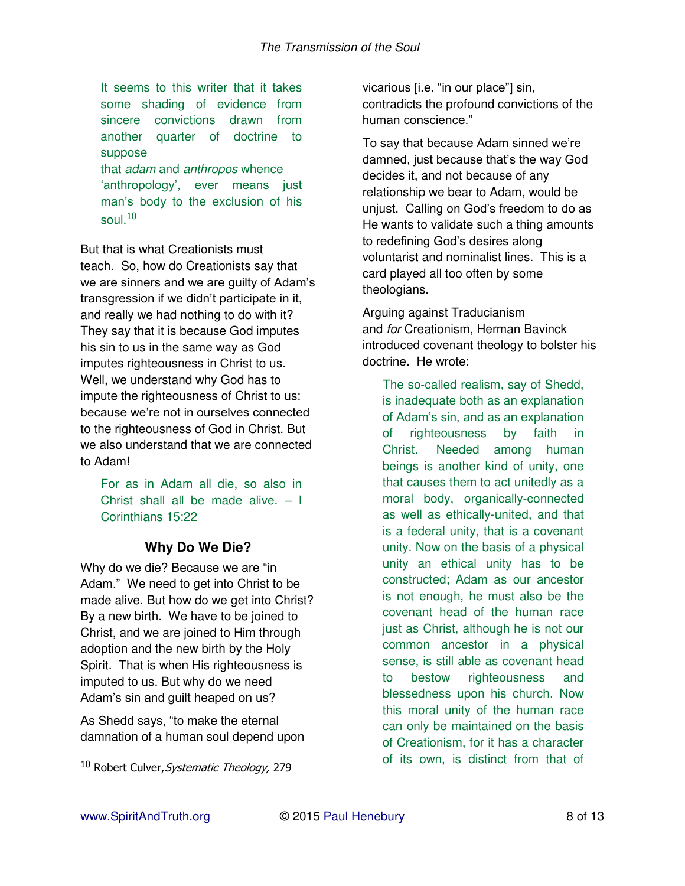It seems to this writer that it takes some shading of evidence from sincere convictions drawn from another quarter of doctrine to suppose that *adam* and *anthropos* whence

'anthropology', ever means just man's body to the exclusion of his soul  $10$ 

But that is what Creationists must teach. So, how do Creationists say that we are sinners and we are guilty of Adam's transgression if we didn't participate in it, and really we had nothing to do with it? They say that it is because God imputes his sin to us in the same way as God imputes righteousness in Christ to us. Well, we understand why God has to impute the righteousness of Christ to us: because we're not in ourselves connected to the righteousness of God in Christ. But we also understand that we are connected to Adam!

For as in Adam all die, so also in Christ shall all be made alive. – I Corinthians 15:22

# **Why Do We Die?**

Why do we die? Because we are "in Adam." We need to get into Christ to be made alive. But how do we get into Christ? By a new birth. We have to be joined to Christ, and we are joined to Him through adoption and the new birth by the Holy Spirit. That is when His righteousness is imputed to us. But why do we need Adam's sin and guilt heaped on us?

As Shedd says, "to make the eternal damnation of a human soul depend upon vicarious [i.e. "in our place"] sin, contradicts the profound convictions of the human conscience."

To say that because Adam sinned we're damned, just because that's the way God decides it, and not because of any relationship we bear to Adam, would be unjust. Calling on God's freedom to do as He wants to validate such a thing amounts to redefining God's desires along voluntarist and nominalist lines. This is a card played all too often by some theologians.

Arguing against Traducianism and *for* Creationism, Herman Bavinck introduced covenant theology to bolster his doctrine. He wrote:

The so-called realism, say of Shedd, is inadequate both as an explanation of Adam's sin, and as an explanation of righteousness by faith in Christ. Needed among human beings is another kind of unity, one that causes them to act unitedly as a moral body, organically-connected as well as ethically-united, and that is a federal unity, that is a covenant unity. Now on the basis of a physical unity an ethical unity has to be constructed; Adam as our ancestor is not enough, he must also be the covenant head of the human race just as Christ, although he is not our common ancestor in a physical sense, is still able as covenant head to bestow righteousness and blessedness upon his church. Now this moral unity of the human race can only be maintained on the basis of Creationism, for it has a character of its own, is distinct from that of

<sup>&</sup>lt;sup>10</sup> Robert Culver, Systematic Theology, 279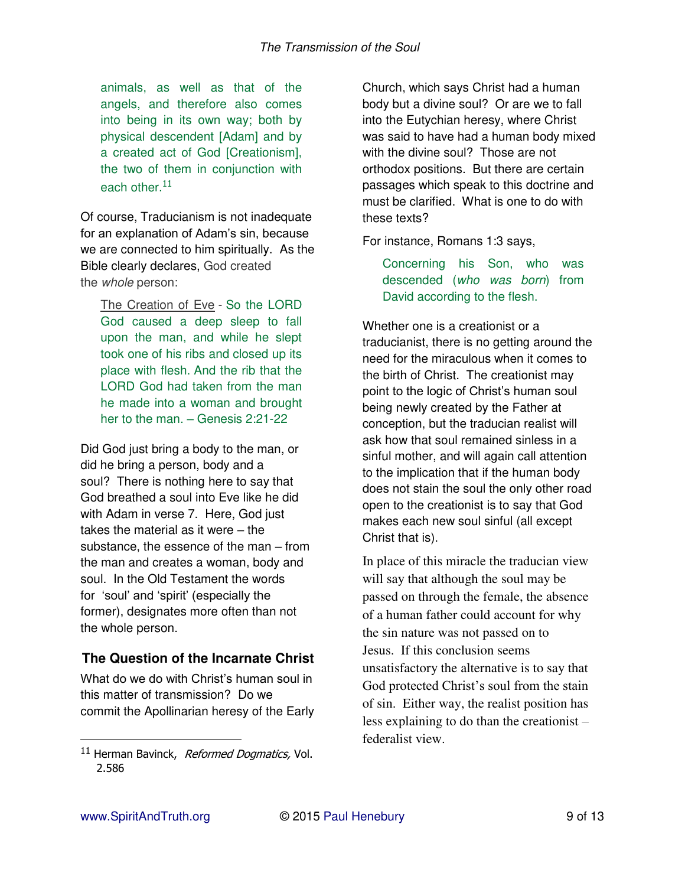animals, as well as that of the angels, and therefore also comes into being in its own way; both by physical descendent [Adam] and by a created act of God [Creationism], the two of them in conjunction with each other. $11$ 

Of course, Traducianism is not inadequate for an explanation of Adam's sin, because we are connected to him spiritually. As the Bible clearly declares, God created the *whole* person:

The Creation of Eve - So the LORD God caused a deep sleep to fall upon the man, and while he slept took one of his ribs and closed up its place with flesh. And the rib that the LORD God had taken from the man he made into a woman and brought her to the man. – Genesis 2:21-22

Did God just bring a body to the man, or did he bring a person, body and a soul? There is nothing here to say that God breathed a soul into Eve like he did with Adam in verse 7. Here, God just takes the material as it were – the substance, the essence of the man – from the man and creates a woman, body and soul. In the Old Testament the words for 'soul' and 'spirit' (especially the former), designates more often than not the whole person.

### **The Question of the Incarnate Christ**

What do we do with Christ's human soul in this matter of transmission? Do we commit the Apollinarian heresy of the Early Church, which says Christ had a human body but a divine soul? Or are we to fall into the Eutychian heresy, where Christ was said to have had a human body mixed with the divine soul? Those are not orthodox positions. But there are certain passages which speak to this doctrine and must be clarified. What is one to do with these texts?

For instance, Romans 1:3 says,

Concerning his Son, who was descended (*who was born*) from David according to the flesh.

Whether one is a creationist or a traducianist, there is no getting around the need for the miraculous when it comes to the birth of Christ. The creationist may point to the logic of Christ's human soul being newly created by the Father at conception, but the traducian realist will ask how that soul remained sinless in a sinful mother, and will again call attention to the implication that if the human body does not stain the soul the only other road open to the creationist is to say that God makes each new soul sinful (all except Christ that is).

In place of this miracle the traducian view will say that although the soul may be passed on through the female, the absence of a human father could account for why the sin nature was not passed on to Jesus. If this conclusion seems unsatisfactory the alternative is to say that God protected Christ's soul from the stain of sin. Either way, the realist position has less explaining to do than the creationist – federalist view.

<sup>&</sup>lt;sup>11</sup> Herman Bavinck, Reformed Dogmatics, Vol. 2.586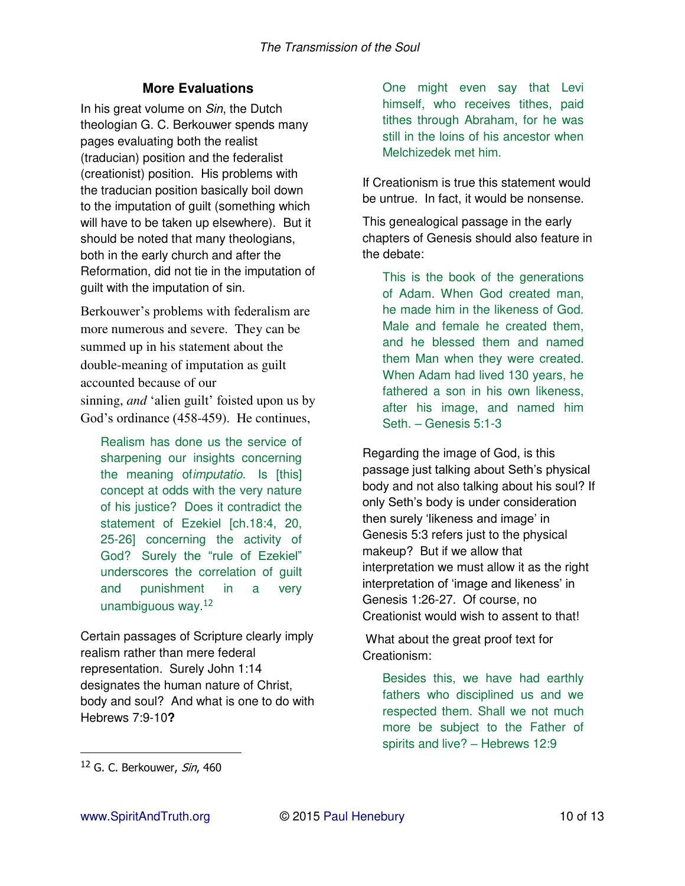# **More Evaluations**

In his great volume on *Sin*, the Dutch theologian G. C. Berkouwer spends many pages evaluating both the realist (traducian) position and the federalist (creationist) position. His problems with the traducian position basically boil down to the imputation of guilt (something which will have to be taken up elsewhere). But it should be noted that many theologians, both in the early church and after the Reformation, did not tie in the imputation of guilt with the imputation of sin.

Berkouwer's problems with federalism are more numerous and severe. They can be summed up in his statement about the double-meaning of imputation as guilt accounted because of our sinning, *and* 'alien guilt' foisted upon us by God's ordinance (458-459). He continues,

Realism has done us the service of sharpening our insights concerning the meaning of*imputatio*. Is [this] concept at odds with the very nature of his justice? Does it contradict the statement of Ezekiel [ch.18:4, 20, 25-26] concerning the activity of God? Surely the "rule of Ezekiel" underscores the correlation of guilt and punishment in a very unambiguous way. $12$ 

Certain passages of Scripture clearly imply realism rather than mere federal representation. Surely John 1:14 designates the human nature of Christ, body and soul? And what is one to do with Hebrews 7:9-10**?**

One might even say that Levi himself, who receives tithes, paid tithes through Abraham, for he was still in the loins of his ancestor when Melchizedek met him.

If Creationism is true this statement would be untrue. In fact, it would be nonsense.

This genealogical passage in the early chapters of Genesis should also feature in the debate:

This is the book of the generations of Adam. When God created man, he made him in the likeness of God. Male and female he created them, and he blessed them and named them Man when they were created. When Adam had lived 130 years, he fathered a son in his own likeness, after his image, and named him Seth. – Genesis 5:1-3

Regarding the image of God, is this passage just talking about Seth's physical body and not also talking about his soul? If only Seth's body is under consideration then surely 'likeness and image' in Genesis 5:3 refers just to the physical makeup? But if we allow that interpretation we must allow it as the right interpretation of 'image and likeness' in Genesis 1:26-27.Of course, no Creationist would wish to assent to that!

 What about the great proof text for Creationism:

Besides this, we have had earthly fathers who disciplined us and we respected them. Shall we not much more be subject to the Father of spirits and live? – Hebrews 12:9

 $12$  G. C. Berkouwer, Sin, 460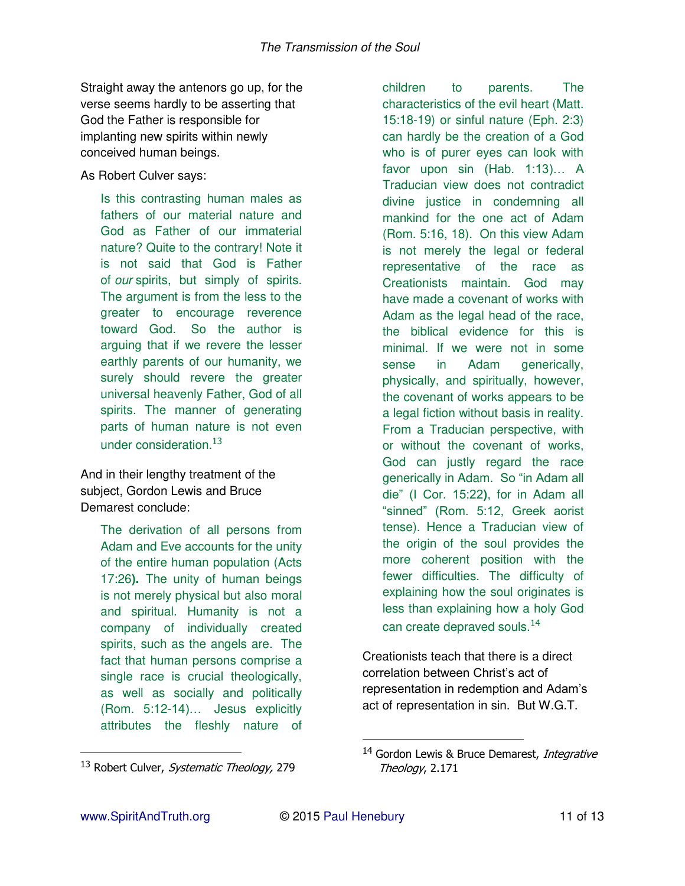Straight away the antenors go up, for the verse seems hardly to be asserting that God the Father is responsible for implanting new spirits within newly conceived human beings.

As Robert Culver says:

Is this contrasting human males as fathers of our material nature and God as Father of our immaterial nature? Quite to the contrary! Note it is not said that God is Father of *our* spirits, but simply of spirits. The argument is from the less to the greater to encourage reverence toward God. So the author is arguing that if we revere the lesser earthly parents of our humanity, we surely should revere the greater universal heavenly Father, God of all spirits. The manner of generating parts of human nature is not even under consideration.<sup>13</sup>

And in their lengthy treatment of the subject, Gordon Lewis and Bruce Demarest conclude:

> The derivation of all persons from Adam and Eve accounts for the unity of the entire human population (Acts 17:26**).** The unity of human beings is not merely physical but also moral and spiritual. Humanity is not a company of individually created spirits, such as the angels are. The fact that human persons comprise a single race is crucial theologically, as well as socially and politically (Rom. 5:12-14)… Jesus explicitly attributes the fleshly nature of

children to parents. The characteristics of the evil heart (Matt. 15:18-19) or sinful nature (Eph. 2:3) can hardly be the creation of a God who is of purer eyes can look with favor upon sin (Hab. 1:13)… A Traducian view does not contradict divine justice in condemning all mankind for the one act of Adam (Rom. 5:16, 18). On this view Adam is not merely the legal or federal representative of the race as Creationists maintain. God may have made a covenant of works with Adam as the legal head of the race, the biblical evidence for this is minimal. If we were not in some sense in Adam generically, physically, and spiritually, however, the covenant of works appears to be a legal fiction without basis in reality. From a Traducian perspective, with or without the covenant of works, God can justly regard the race generically in Adam. So "in Adam all die" (I Cor. 15:22**)**, for in Adam all "sinned" (Rom. 5:12, Greek aorist tense). Hence a Traducian view of the origin of the soul provides the more coherent position with the fewer difficulties. The difficulty of explaining how the soul originates is less than explaining how a holy God

can create deprayed souls.<sup>14</sup>

Creationists teach that there is a direct correlation between Christ's act of representation in redemption and Adam's act of representation in sin. But W.G.T.

 $\overline{a}$ 

<sup>&</sup>lt;sup>13</sup> Robert Culver, Systematic Theology, 279

<sup>&</sup>lt;sup>14</sup> Gordon Lewis & Bruce Demarest, Integrative Theology, 2.171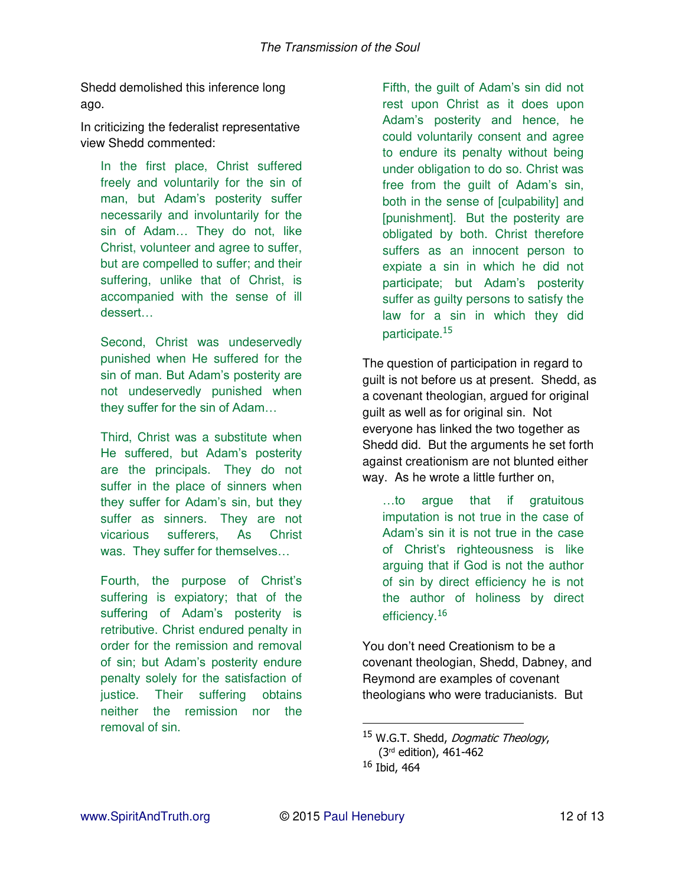Shedd demolished this inference long ago.

In criticizing the federalist representative view Shedd commented:

In the first place, Christ suffered freely and voluntarily for the sin of man, but Adam's posterity suffer necessarily and involuntarily for the sin of Adam… They do not, like Christ, volunteer and agree to suffer, but are compelled to suffer; and their suffering, unlike that of Christ, is accompanied with the sense of ill dessert…

Second, Christ was undeservedly punished when He suffered for the sin of man. But Adam's posterity are not undeservedly punished when they suffer for the sin of Adam…

Third, Christ was a substitute when He suffered, but Adam's posterity are the principals. They do not suffer in the place of sinners when they suffer for Adam's sin, but they suffer as sinners. They are not vicarious sufferers, As Christ was. They suffer for themselves…

Fourth, the purpose of Christ's suffering is expiatory; that of the suffering of Adam's posterity is retributive. Christ endured penalty in order for the remission and removal of sin; but Adam's posterity endure penalty solely for the satisfaction of justice. Their suffering obtains neither the remission nor the removal of sin.

Fifth, the guilt of Adam's sin did not rest upon Christ as it does upon Adam's posterity and hence, he could voluntarily consent and agree to endure its penalty without being under obligation to do so. Christ was free from the guilt of Adam's sin, both in the sense of [culpability] and [punishment]. But the posterity are obligated by both. Christ therefore suffers as an innocent person to expiate a sin in which he did not participate; but Adam's posterity suffer as guilty persons to satisfy the law for a sin in which they did participate.<sup>15</sup>

The question of participation in regard to guilt is not before us at present. Shedd, as a covenant theologian, argued for original guilt as well as for original sin. Not everyone has linked the two together as Shedd did. But the arguments he set forth against creationism are not blunted either way. As he wrote a little further on,

…to argue that if gratuitous imputation is not true in the case of Adam's sin it is not true in the case of Christ's righteousness is like arguing that if God is not the author of sin by direct efficiency he is not the author of holiness by direct efficiency.<sup>16</sup>

You don't need Creationism to be a covenant theologian, Shedd, Dabney, and Reymond are examples of covenant theologians who were traducianists. But

<sup>&</sup>lt;sup>15</sup> W.G.T. Shedd, *Dogmatic Theology*, (3rd edition), 461-462 <sup>16</sup> Ibid, 464